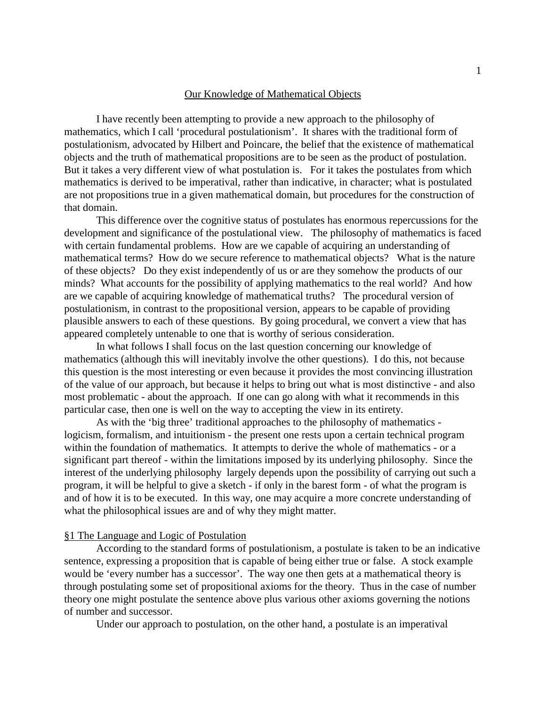#### Our Knowledge of Mathematical Objects

I have recently been attempting to provide a new approach to the philosophy of mathematics, which I call 'procedural postulationism'. It shares with the traditional form of postulationism, advocated by Hilbert and Poincare, the belief that the existence of mathematical objects and the truth of mathematical propositions are to be seen as the product of postulation. But it takes a very different view of what postulation is. For it takes the postulates from which mathematics is derived to be imperatival, rather than indicative, in character; what is postulated are not propositions true in a given mathematical domain, but procedures for the construction of that domain.

This difference over the cognitive status of postulates has enormous repercussions for the development and significance of the postulational view. The philosophy of mathematics is faced with certain fundamental problems. How are we capable of acquiring an understanding of mathematical terms? How do we secure reference to mathematical objects? What is the nature of these objects? Do they exist independently of us or are they somehow the products of our minds? What accounts for the possibility of applying mathematics to the real world? And how are we capable of acquiring knowledge of mathematical truths? The procedural version of postulationism, in contrast to the propositional version, appears to be capable of providing plausible answers to each of these questions. By going procedural, we convert a view that has appeared completely untenable to one that is worthy of serious consideration.

In what follows I shall focus on the last question concerning our knowledge of mathematics (although this will inevitably involve the other questions). I do this, not because this question is the most interesting or even because it provides the most convincing illustration of the value of our approach, but because it helps to bring out what is most distinctive - and also most problematic - about the approach. If one can go along with what it recommends in this particular case, then one is well on the way to accepting the view in its entirety.

As with the 'big three' traditional approaches to the philosophy of mathematics logicism, formalism, and intuitionism - the present one rests upon a certain technical program within the foundation of mathematics. It attempts to derive the whole of mathematics - or a significant part thereof - within the limitations imposed by its underlying philosophy. Since the interest of the underlying philosophy largely depends upon the possibility of carrying out such a program, it will be helpful to give a sketch - if only in the barest form - of what the program is and of how it is to be executed. In this way, one may acquire a more concrete understanding of what the philosophical issues are and of why they might matter.

## §1 The Language and Logic of Postulation

According to the standard forms of postulationism, a postulate is taken to be an indicative sentence, expressing a proposition that is capable of being either true or false. A stock example would be 'every number has a successor'. The way one then gets at a mathematical theory is through postulating some set of propositional axioms for the theory. Thus in the case of number theory one might postulate the sentence above plus various other axioms governing the notions of number and successor.

Under our approach to postulation, on the other hand, a postulate is an imperatival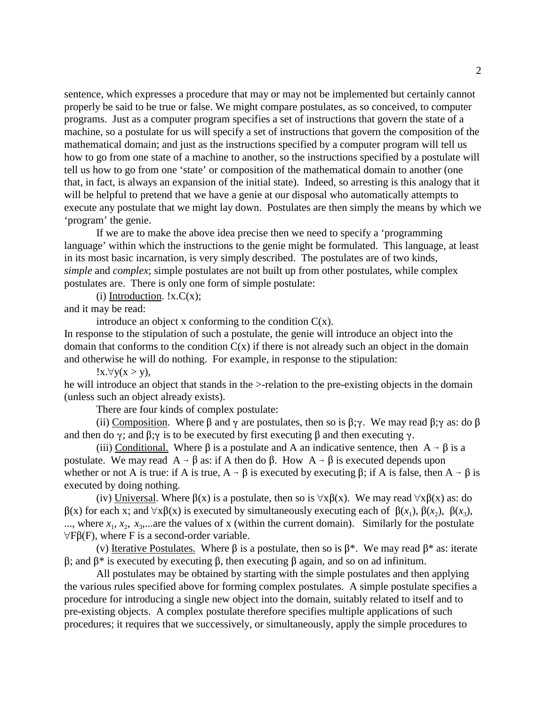sentence, which expresses a procedure that may or may not be implemented but certainly cannot properly be said to be true or false. We might compare postulates, as so conceived, to computer programs. Just as a computer program specifies a set of instructions that govern the state of a machine, so a postulate for us will specify a set of instructions that govern the composition of the mathematical domain; and just as the instructions specified by a computer program will tell us how to go from one state of a machine to another, so the instructions specified by a postulate will tell us how to go from one 'state' or composition of the mathematical domain to another (one that, in fact, is always an expansion of the initial state). Indeed, so arresting is this analogy that it will be helpful to pretend that we have a genie at our disposal who automatically attempts to execute any postulate that we might lay down. Postulates are then simply the means by which we 'program' the genie.

If we are to make the above idea precise then we need to specify a 'programming language' within which the instructions to the genie might be formulated. This language, at least in its most basic incarnation, is very simply described. The postulates are of two kinds, *simple* and *complex*; simple postulates are not built up from other postulates, while complex postulates are. There is only one form of simple postulate:

(i) Introduction.  $x.C(x)$ ;

and it may be read:

introduce an object x conforming to the condition  $C(x)$ .

In response to the stipulation of such a postulate, the genie will introduce an object into the domain that conforms to the condition  $C(x)$  if there is not already such an object in the domain and otherwise he will do nothing. For example, in response to the stipulation:

 $!x. \forall y(x > y),$ 

he will introduce an object that stands in the  $\ge$ -relation to the pre-existing objects in the domain (unless such an object already exists).

There are four kinds of complex postulate:

(ii) Composition. Where  $\beta$  and  $\gamma$  are postulates, then so is  $\beta$ ; $\gamma$ . We may read  $\beta$ ; $\gamma$  as: do  $\beta$ and then do  $\gamma$ ; and  $\beta$ ; is to be executed by first executing  $\beta$  and then executing  $\gamma$ .

(iii) Conditional. Where  $\beta$  is a postulate and A an indicative sentence, then A  $\rightarrow \beta$  is a postulate. We may read  $A \rightarrow \beta$  as: if A then do  $\beta$ . How  $A \rightarrow \beta$  is executed depends upon whether or not A is true: if A is true,  $A \rightarrow \beta$  is executed by executing  $\beta$ ; if A is false, then  $A \rightarrow \beta$  is executed by doing nothing.

(iv) Universal. Where  $\beta(x)$  is a postulate, then so is  $\forall x\beta(x)$ . We may read  $\forall x\beta(x)$  as: do  $\beta(x)$  for each x; and  $\forall x\beta(x)$  is executed by simultaneously executing each of  $\beta(x_1)$ ,  $\beta(x_2)$ ,  $\beta(x_3)$ , ..., where  $x_1, x_2, x_3$ ...are the values of x (within the current domain). Similarly for the postulate  $\forall F\beta(F)$ , where F is a second-order variable.

(v) Iterative Postulates. Where  $\beta$  is a postulate, then so is  $\beta^*$ . We may read  $\beta^*$  as: iterate  $\beta$ ; and  $\beta^*$  is executed by executing  $\beta$ , then executing  $\beta$  again, and so on ad infinitum.

All postulates may be obtained by starting with the simple postulates and then applying the various rules specified above for forming complex postulates. A simple postulate specifies a procedure for introducing a single new object into the domain, suitably related to itself and to pre-existing objects. A complex postulate therefore specifies multiple applications of such procedures; it requires that we successively, or simultaneously, apply the simple procedures to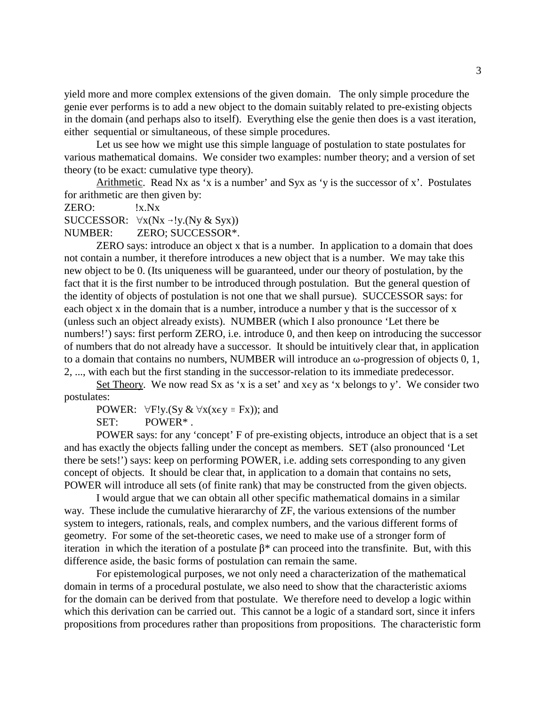yield more and more complex extensions of the given domain. The only simple procedure the genie ever performs is to add a new object to the domain suitably related to pre-existing objects in the domain (and perhaps also to itself). Everything else the genie then does is a vast iteration, either sequential or simultaneous, of these simple procedures.

Let us see how we might use this simple language of postulation to state postulates for various mathematical domains. We consider two examples: number theory; and a version of set theory (to be exact: cumulative type theory).

Arithmetic. Read Nx as 'x is a number' and Syx as 'y is the successor of x'. Postulates for arithmetic are then given by:

ZERO: !x.Nx

SUCCESSOR:  $\forall x(Nx \rightarrow !y.(Ny & Syx))$ 

NUMBER: ZERO; SUCCESSOR\*.

ZERO says: introduce an object x that is a number. In application to a domain that does not contain a number, it therefore introduces a new object that is a number. We may take this new object to be 0. (Its uniqueness will be guaranteed, under our theory of postulation, by the fact that it is the first number to be introduced through postulation. But the general question of the identity of objects of postulation is not one that we shall pursue). SUCCESSOR says: for each object x in the domain that is a number, introduce a number y that is the successor of x (unless such an object already exists). NUMBER (which I also pronounce 'Let there be numbers!') says: first perform ZERO, i.e. introduce 0, and then keep on introducing the successor of numbers that do not already have a successor. It should be intuitively clear that, in application to a domain that contains no numbers, NUMBER will introduce an  $\omega$ -progression of objects 0, 1, 2, ..., with each but the first standing in the successor-relation to its immediate predecessor.

Set Theory. We now read Sx as 'x is a set' and  $x \in y$  as 'x belongs to y'. We consider two postulates:

POWER:  $\forall$ F!y.(Sy &  $\forall$ x(x $\in$ y = Fx)); and

SET: POWER\* .

POWER says: for any 'concept' F of pre-existing objects, introduce an object that is a set and has exactly the objects falling under the concept as members. SET (also pronounced 'Let there be sets!') says: keep on performing POWER, i.e. adding sets corresponding to any given concept of objects. It should be clear that, in application to a domain that contains no sets, POWER will introduce all sets (of finite rank) that may be constructed from the given objects.

I would argue that we can obtain all other specific mathematical domains in a similar way. These include the cumulative hierararchy of ZF, the various extensions of the number system to integers, rationals, reals, and complex numbers, and the various different forms of geometry. For some of the set-theoretic cases, we need to make use of a stronger form of iteration in which the iteration of a postulate  $\beta^*$  can proceed into the transfinite. But, with this difference aside, the basic forms of postulation can remain the same.

For epistemological purposes, we not only need a characterization of the mathematical domain in terms of a procedural postulate, we also need to show that the characteristic axioms for the domain can be derived from that postulate. We therefore need to develop a logic within which this derivation can be carried out. This cannot be a logic of a standard sort, since it infers propositions from procedures rather than propositions from propositions. The characteristic form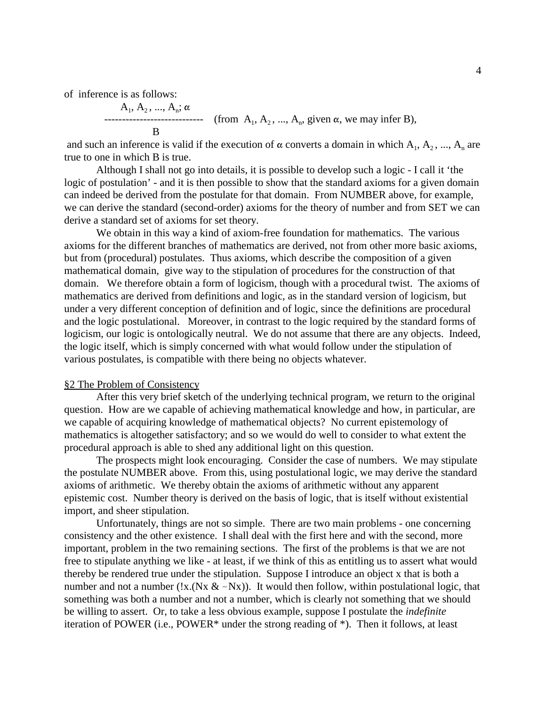of inference is as follows:

 $A_1, A_2, ..., A_n; \alpha$  ---------------------------- (from A1, A2 , ..., An, given , we may infer B), B

and such an inference is valid if the execution of  $\alpha$  converts a domain in which  $A_1, A_2, ..., A_n$  are true to one in which B is true.

Although I shall not go into details, it is possible to develop such a logic - I call it 'the logic of postulation' - and it is then possible to show that the standard axioms for a given domain can indeed be derived from the postulate for that domain. From NUMBER above, for example, we can derive the standard (second-order) axioms for the theory of number and from SET we can derive a standard set of axioms for set theory.

We obtain in this way a kind of axiom-free foundation for mathematics. The various axioms for the different branches of mathematics are derived, not from other more basic axioms, but from (procedural) postulates. Thus axioms, which describe the composition of a given mathematical domain, give way to the stipulation of procedures for the construction of that domain. We therefore obtain a form of logicism, though with a procedural twist. The axioms of mathematics are derived from definitions and logic, as in the standard version of logicism, but under a very different conception of definition and of logic, since the definitions are procedural and the logic postulational. Moreover, in contrast to the logic required by the standard forms of logicism, our logic is ontologically neutral. We do not assume that there are any objects. Indeed, the logic itself, which is simply concerned with what would follow under the stipulation of various postulates, is compatible with there being no objects whatever.

# §2 The Problem of Consistency

After this very brief sketch of the underlying technical program, we return to the original question. How are we capable of achieving mathematical knowledge and how, in particular, are we capable of acquiring knowledge of mathematical objects? No current epistemology of mathematics is altogether satisfactory; and so we would do well to consider to what extent the procedural approach is able to shed any additional light on this question.

The prospects might look encouraging. Consider the case of numbers. We may stipulate the postulate NUMBER above. From this, using postulational logic, we may derive the standard axioms of arithmetic. We thereby obtain the axioms of arithmetic without any apparent epistemic cost. Number theory is derived on the basis of logic, that is itself without existential import, and sheer stipulation.

Unfortunately, things are not so simple. There are two main problems - one concerning consistency and the other existence. I shall deal with the first here and with the second, more important, problem in the two remaining sections. The first of the problems is that we are not free to stipulate anything we like - at least, if we think of this as entitling us to assert what would thereby be rendered true under the stipulation. Suppose I introduce an object x that is both a number and not a number (!x.(Nx  $\& \sim Nx$ )). It would then follow, within postulational logic, that something was both a number and not a number, which is clearly not something that we should be willing to assert. Or, to take a less obvious example, suppose I postulate the *indefinite* iteration of POWER (i.e., POWER\* under the strong reading of \*). Then it follows, at least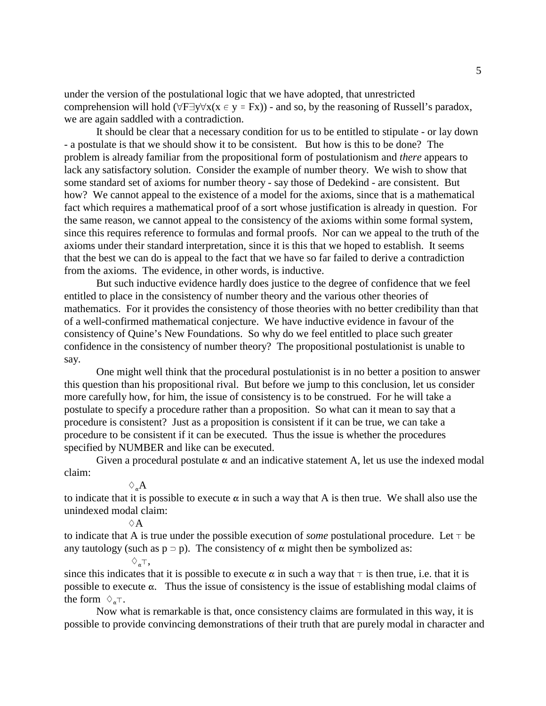under the version of the postulational logic that we have adopted, that unrestricted comprehension will hold ( $\forall$ F $\exists$ y $\forall$ x(x  $\in$  y = Fx)) - and so, by the reasoning of Russell's paradox, we are again saddled with a contradiction.

It should be clear that a necessary condition for us to be entitled to stipulate - or lay down - a postulate is that we should show it to be consistent. But how is this to be done? The problem is already familiar from the propositional form of postulationism and *there* appears to lack any satisfactory solution. Consider the example of number theory. We wish to show that some standard set of axioms for number theory - say those of Dedekind - are consistent. But how? We cannot appeal to the existence of a model for the axioms, since that is a mathematical fact which requires a mathematical proof of a sort whose justification is already in question. For the same reason, we cannot appeal to the consistency of the axioms within some formal system, since this requires reference to formulas and formal proofs. Nor can we appeal to the truth of the axioms under their standard interpretation, since it is this that we hoped to establish. It seems that the best we can do is appeal to the fact that we have so far failed to derive a contradiction from the axioms. The evidence, in other words, is inductive.

But such inductive evidence hardly does justice to the degree of confidence that we feel entitled to place in the consistency of number theory and the various other theories of mathematics. For it provides the consistency of those theories with no better credibility than that of a well-confirmed mathematical conjecture. We have inductive evidence in favour of the consistency of Quine's New Foundations. So why do we feel entitled to place such greater confidence in the consistency of number theory? The propositional postulationist is unable to say.

One might well think that the procedural postulationist is in no better a position to answer this question than his propositional rival. But before we jump to this conclusion, let us consider more carefully how, for him, the issue of consistency is to be construed. For he will take a postulate to specify a procedure rather than a proposition. So what can it mean to say that a procedure is consistent? Just as a proposition is consistent if it can be true, we can take a procedure to be consistent if it can be executed. Thus the issue is whether the procedures specified by NUMBER and like can be executed.

Given a procedural postulate  $\alpha$  and an indicative statement A, let us use the indexed modal claim:

 $\Diamond_{\alpha}A$ 

to indicate that it is possible to execute  $\alpha$  in such a way that A is then true. We shall also use the unindexed modal claim:

 $\Diamond A$ 

 $\diamond_{\scriptscriptstyle\alpha}$ t,

to indicate that A is true under the possible execution of *some* postulational procedure. Let  $\tau$  be any tautology (such as  $p \supset p$ ). The consistency of  $\alpha$  might then be symbolized as:

since this indicates that it is possible to execute  $\alpha$  in such a way that  $\tau$  is then true, i.e. that it is possible to execute  $\alpha$ . Thus the issue of consistency is the issue of establishing modal claims of the form  $\Diamond_{\alpha} \top$ .

Now what is remarkable is that, once consistency claims are formulated in this way, it is possible to provide convincing demonstrations of their truth that are purely modal in character and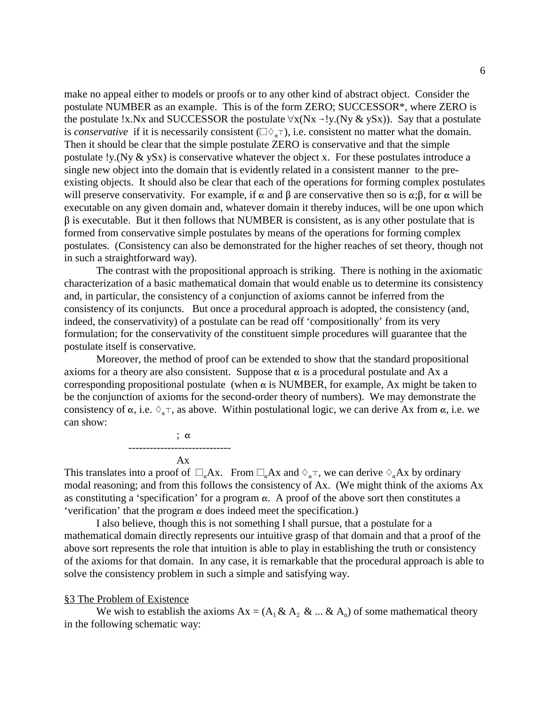make no appeal either to models or proofs or to any other kind of abstract object. Consider the postulate NUMBER as an example. This is of the form ZERO; SUCCESSOR\*, where ZERO is the postulate !x.Nx and SUCCESSOR the postulate  $\forall x(Nx \rightarrow !y.(Ny \& ySx))$ . Say that a postulate is *conservative* if it is necessarily consistent  $(\Box \Diamond_{\alpha} \top)$ , i.e. consistent no matter what the domain. Then it should be clear that the simple postulate ZERO is conservative and that the simple postulate !y.(Ny & ySx) is conservative whatever the object x. For these postulates introduce a single new object into the domain that is evidently related in a consistent manner to the preexisting objects. It should also be clear that each of the operations for forming complex postulates will preserve conservativity. For example, if  $\alpha$  and  $\beta$  are conservative then so is  $\alpha$ ;  $\beta$ , for  $\alpha$  will be executable on any given domain and, whatever domain it thereby induces, will be one upon which  $\beta$  is executable. But it then follows that NUMBER is consistent, as is any other postulate that is formed from conservative simple postulates by means of the operations for forming complex postulates. (Consistency can also be demonstrated for the higher reaches of set theory, though not in such a straightforward way).

The contrast with the propositional approach is striking. There is nothing in the axiomatic characterization of a basic mathematical domain that would enable us to determine its consistency and, in particular, the consistency of a conjunction of axioms cannot be inferred from the consistency of its conjuncts. But once a procedural approach is adopted, the consistency (and, indeed, the conservativity) of a postulate can be read off 'compositionally' from its very formulation; for the conservativity of the constituent simple procedures will guarantee that the postulate itself is conservative.

Moreover, the method of proof can be extended to show that the standard propositional axioms for a theory are also consistent. Suppose that  $\alpha$  is a procedural postulate and Ax a corresponding propositional postulate (when  $\alpha$  is NUMBER, for example, Ax might be taken to be the conjunction of axioms for the second-order theory of numbers). We may demonstrate the consistency of  $\alpha$ , i.e.  $\Diamond_{\alpha}$ , as above. Within postulational logic, we can derive Ax from  $\alpha$ , i.e. we can show:

> **;** α ----------------------------- Ax

This translates into a proof of  $\Box_{\alpha}Ax$ . From  $\Box_{\alpha}Ax$  and  $\Diamond_{\alpha}\top$ , we can derive  $\Diamond_{\alpha}Ax$  by ordinary modal reasoning; and from this follows the consistency of Ax. (We might think of the axioms Ax as constituting a 'specification' for a program  $\alpha$ . A proof of the above sort then constitutes a 'verification' that the program  $\alpha$  does indeed meet the specification.)

I also believe, though this is not something I shall pursue, that a postulate for a mathematical domain directly represents our intuitive grasp of that domain and that a proof of the above sort represents the role that intuition is able to play in establishing the truth or consistency of the axioms for that domain. In any case, it is remarkable that the procedural approach is able to solve the consistency problem in such a simple and satisfying way.

## §3 The Problem of Existence

We wish to establish the axioms  $Ax = (A_1 \& A_2 \& ... \& A_n)$  of some mathematical theory in the following schematic way: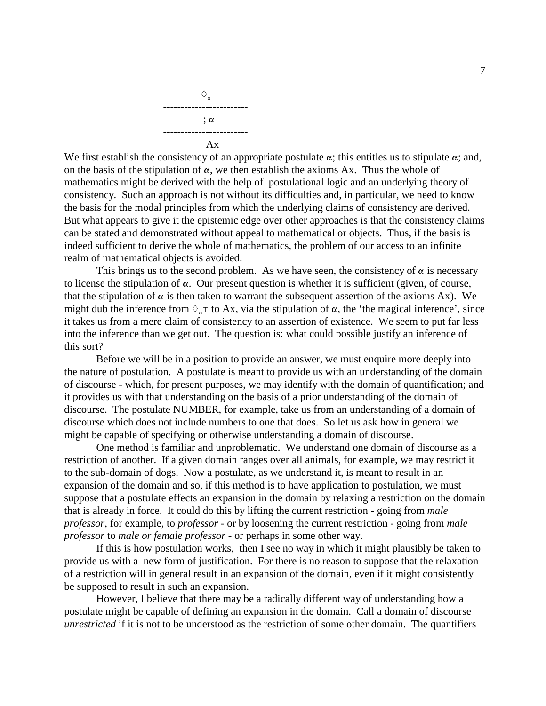

We first establish the consistency of an appropriate postulate  $\alpha$ ; this entitles us to stipulate  $\alpha$ ; and, on the basis of the stipulation of  $\alpha$ , we then establish the axioms Ax. Thus the whole of mathematics might be derived with the help of postulational logic and an underlying theory of consistency. Such an approach is not without its difficulties and, in particular, we need to know the basis for the modal principles from which the underlying claims of consistency are derived. But what appears to give it the epistemic edge over other approaches is that the consistency claims can be stated and demonstrated without appeal to mathematical or objects. Thus, if the basis is indeed sufficient to derive the whole of mathematics, the problem of our access to an infinite realm of mathematical objects is avoided.

This brings us to the second problem. As we have seen, the consistency of  $\alpha$  is necessary to license the stipulation of  $\alpha$ . Our present question is whether it is sufficient (given, of course, that the stipulation of  $\alpha$  is then taken to warrant the subsequent assertion of the axioms Ax). We might dub the inference from  $\Diamond_{\alpha}$  to Ax, via the stipulation of  $\alpha$ , the 'the magical inference', since it takes us from a mere claim of consistency to an assertion of existence. We seem to put far less into the inference than we get out. The question is: what could possible justify an inference of this sort?

Before we will be in a position to provide an answer, we must enquire more deeply into the nature of postulation. A postulate is meant to provide us with an understanding of the domain of discourse - which, for present purposes, we may identify with the domain of quantification; and it provides us with that understanding on the basis of a prior understanding of the domain of discourse. The postulate NUMBER, for example, take us from an understanding of a domain of discourse which does not include numbers to one that does. So let us ask how in general we might be capable of specifying or otherwise understanding a domain of discourse.

One method is familiar and unproblematic. We understand one domain of discourse as a restriction of another. If a given domain ranges over all animals, for example, we may restrict it to the sub-domain of dogs. Now a postulate, as we understand it, is meant to result in an expansion of the domain and so, if this method is to have application to postulation, we must suppose that a postulate effects an expansion in the domain by relaxing a restriction on the domain that is already in force. It could do this by lifting the current restriction - going from *male professor*, for example, to *professor* - or by loosening the current restriction - going from *male professor* to *male or female professor* - or perhaps in some other way.

If this is how postulation works, then I see no way in which it might plausibly be taken to provide us with a new form of justification. For there is no reason to suppose that the relaxation of a restriction will in general result in an expansion of the domain, even if it might consistently be supposed to result in such an expansion.

However, I believe that there may be a radically different way of understanding how a postulate might be capable of defining an expansion in the domain. Call a domain of discourse *unrestricted* if it is not to be understood as the restriction of some other domain. The quantifiers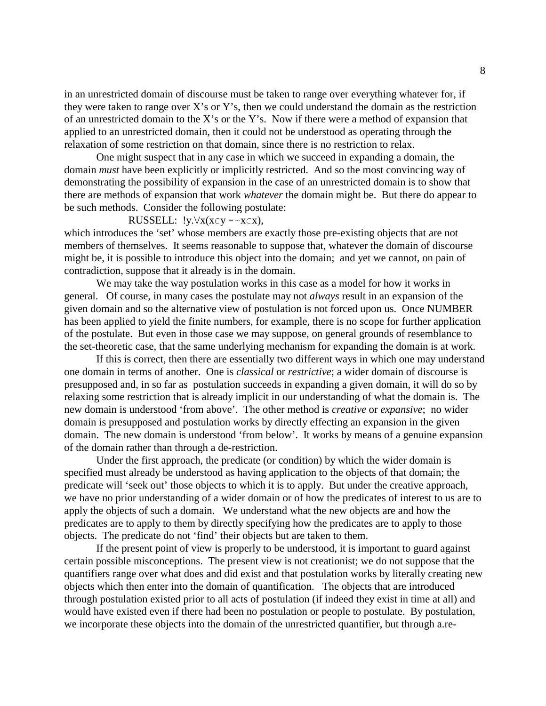in an unrestricted domain of discourse must be taken to range over everything whatever for, if they were taken to range over X's or Y's, then we could understand the domain as the restriction of an unrestricted domain to the X's or the Y's. Now if there were a method of expansion that applied to an unrestricted domain, then it could not be understood as operating through the relaxation of some restriction on that domain, since there is no restriction to relax.

One might suspect that in any case in which we succeed in expanding a domain, the domain *must* have been explicitly or implicitly restricted. And so the most convincing way of demonstrating the possibility of expansion in the case of an unrestricted domain is to show that there are methods of expansion that work *whatever* the domain might be. But there do appear to be such methods. Consider the following postulate:

## RUSSELL:  $!y.\forall x(x \in y \equiv \neg x \in x),$

which introduces the 'set' whose members are exactly those pre-existing objects that are not members of themselves. It seems reasonable to suppose that, whatever the domain of discourse might be, it is possible to introduce this object into the domain; and yet we cannot, on pain of contradiction, suppose that it already is in the domain.

We may take the way postulation works in this case as a model for how it works in general. Of course, in many cases the postulate may not *always* result in an expansion of the given domain and so the alternative view of postulation is not forced upon us. Once NUMBER has been applied to yield the finite numbers, for example, there is no scope for further application of the postulate. But even in those case we may suppose, on general grounds of resemblance to the set-theoretic case, that the same underlying mechanism for expanding the domain is at work.

If this is correct, then there are essentially two different ways in which one may understand one domain in terms of another. One is *classical* or *restrictive*; a wider domain of discourse is presupposed and, in so far as postulation succeeds in expanding a given domain, it will do so by relaxing some restriction that is already implicit in our understanding of what the domain is. The new domain is understood 'from above'. The other method is *creative* or *expansive*; no wider domain is presupposed and postulation works by directly effecting an expansion in the given domain. The new domain is understood 'from below'. It works by means of a genuine expansion of the domain rather than through a de-restriction.

Under the first approach, the predicate (or condition) by which the wider domain is specified must already be understood as having application to the objects of that domain; the predicate will 'seek out' those objects to which it is to apply. But under the creative approach, we have no prior understanding of a wider domain or of how the predicates of interest to us are to apply the objects of such a domain. We understand what the new objects are and how the predicates are to apply to them by directly specifying how the predicates are to apply to those objects. The predicate do not 'find' their objects but are taken to them.

If the present point of view is properly to be understood, it is important to guard against certain possible misconceptions. The present view is not creationist; we do not suppose that the quantifiers range over what does and did exist and that postulation works by literally creating new objects which then enter into the domain of quantification. The objects that are introduced through postulation existed prior to all acts of postulation (if indeed they exist in time at all) and would have existed even if there had been no postulation or people to postulate. By postulation, we incorporate these objects into the domain of the unrestricted quantifier, but through a.re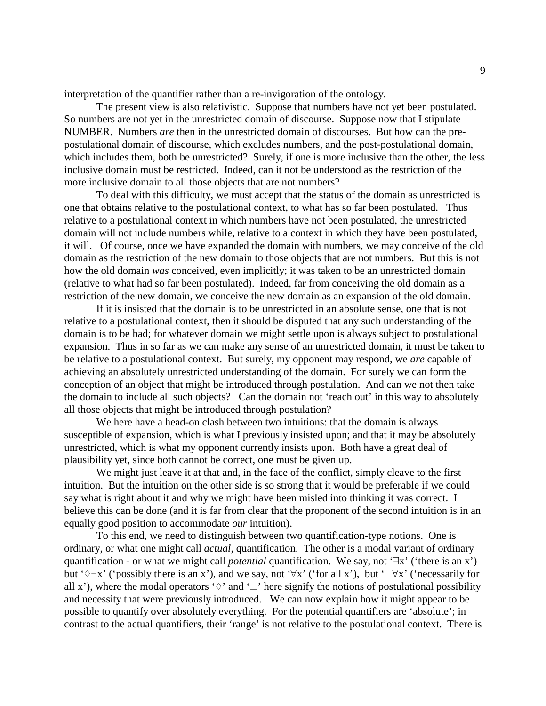interpretation of the quantifier rather than a re-invigoration of the ontology.

The present view is also relativistic. Suppose that numbers have not yet been postulated. So numbers are not yet in the unrestricted domain of discourse. Suppose now that I stipulate NUMBER. Numbers *are* then in the unrestricted domain of discourses. But how can the prepostulational domain of discourse, which excludes numbers, and the post-postulational domain, which includes them, both be unrestricted? Surely, if one is more inclusive than the other, the less inclusive domain must be restricted. Indeed, can it not be understood as the restriction of the more inclusive domain to all those objects that are not numbers?

To deal with this difficulty, we must accept that the status of the domain as unrestricted is one that obtains relative to the postulational context, to what has so far been postulated. Thus relative to a postulational context in which numbers have not been postulated, the unrestricted domain will not include numbers while, relative to a context in which they have been postulated, it will. Of course, once we have expanded the domain with numbers, we may conceive of the old domain as the restriction of the new domain to those objects that are not numbers. But this is not how the old domain *was* conceived, even implicitly; it was taken to be an unrestricted domain (relative to what had so far been postulated). Indeed, far from conceiving the old domain as a restriction of the new domain, we conceive the new domain as an expansion of the old domain.

If it is insisted that the domain is to be unrestricted in an absolute sense, one that is not relative to a postulational context, then it should be disputed that any such understanding of the domain is to be had; for whatever domain we might settle upon is always subject to postulational expansion. Thus in so far as we can make any sense of an unrestricted domain, it must be taken to be relative to a postulational context. But surely, my opponent may respond, we *are* capable of achieving an absolutely unrestricted understanding of the domain. For surely we can form the conception of an object that might be introduced through postulation. And can we not then take the domain to include all such objects? Can the domain not 'reach out' in this way to absolutely all those objects that might be introduced through postulation?

We here have a head-on clash between two intuitions: that the domain is always susceptible of expansion, which is what I previously insisted upon; and that it may be absolutely unrestricted, which is what my opponent currently insists upon. Both have a great deal of plausibility yet, since both cannot be correct, one must be given up.

We might just leave it at that and, in the face of the conflict, simply cleave to the first intuition. But the intuition on the other side is so strong that it would be preferable if we could say what is right about it and why we might have been misled into thinking it was correct. I believe this can be done (and it is far from clear that the proponent of the second intuition is in an equally good position to accommodate *our* intuition).

To this end, we need to distinguish between two quantification-type notions. One is ordinary, or what one might call *actual*, quantification. The other is a modal variant of ordinary quantification - or what we might call *potential* quantification. We say, not ' $\exists x$ ' ('there is an x') but ' $\Diamond \exists x'$  ('possibly there is an x'), and we say, not ' $\forall x'$  ('for all x'), but ' $\Box \forall x'$  ('necessarily for all x'), where the modal operators ' $\Diamond$ ' and ' $\Box$ ' here signify the notions of postulational possibility and necessity that were previously introduced. We can now explain how it might appear to be possible to quantify over absolutely everything. For the potential quantifiers are 'absolute'; in contrast to the actual quantifiers, their 'range' is not relative to the postulational context. There is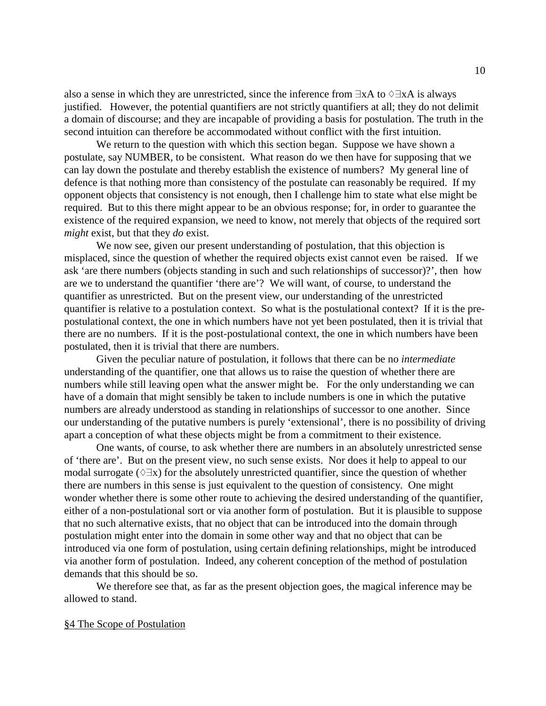also a sense in which they are unrestricted, since the inference from  $\exists xA$  to  $\Diamond \exists xA$  is always justified. However, the potential quantifiers are not strictly quantifiers at all; they do not delimit a domain of discourse; and they are incapable of providing a basis for postulation. The truth in the second intuition can therefore be accommodated without conflict with the first intuition.

We return to the question with which this section began. Suppose we have shown a postulate, say NUMBER, to be consistent. What reason do we then have for supposing that we can lay down the postulate and thereby establish the existence of numbers? My general line of defence is that nothing more than consistency of the postulate can reasonably be required. If my opponent objects that consistency is not enough, then I challenge him to state what else might be required. But to this there might appear to be an obvious response; for, in order to guarantee the existence of the required expansion, we need to know, not merely that objects of the required sort *might* exist, but that they *do* exist.

We now see, given our present understanding of postulation, that this objection is misplaced, since the question of whether the required objects exist cannot even be raised. If we ask 'are there numbers (objects standing in such and such relationships of successor)?', then how are we to understand the quantifier 'there are'? We will want, of course, to understand the quantifier as unrestricted. But on the present view, our understanding of the unrestricted quantifier is relative to a postulation context. So what is the postulational context? If it is the prepostulational context, the one in which numbers have not yet been postulated, then it is trivial that there are no numbers. If it is the post-postulational context, the one in which numbers have been postulated, then it is trivial that there are numbers.

Given the peculiar nature of postulation, it follows that there can be no *intermediate* understanding of the quantifier, one that allows us to raise the question of whether there are numbers while still leaving open what the answer might be. For the only understanding we can have of a domain that might sensibly be taken to include numbers is one in which the putative numbers are already understood as standing in relationships of successor to one another. Since our understanding of the putative numbers is purely 'extensional', there is no possibility of driving apart a conception of what these objects might be from a commitment to their existence.

One wants, of course, to ask whether there are numbers in an absolutely unrestricted sense of 'there are'. But on the present view, no such sense exists. Nor does it help to appeal to our modal surrogate ( $\Diamond \exists x$ ) for the absolutely unrestricted quantifier, since the question of whether there are numbers in this sense is just equivalent to the question of consistency. One might wonder whether there is some other route to achieving the desired understanding of the quantifier, either of a non-postulational sort or via another form of postulation. But it is plausible to suppose that no such alternative exists, that no object that can be introduced into the domain through postulation might enter into the domain in some other way and that no object that can be introduced via one form of postulation, using certain defining relationships, might be introduced via another form of postulation. Indeed, any coherent conception of the method of postulation demands that this should be so.

We therefore see that, as far as the present objection goes, the magical inference may be allowed to stand.

## §4 The Scope of Postulation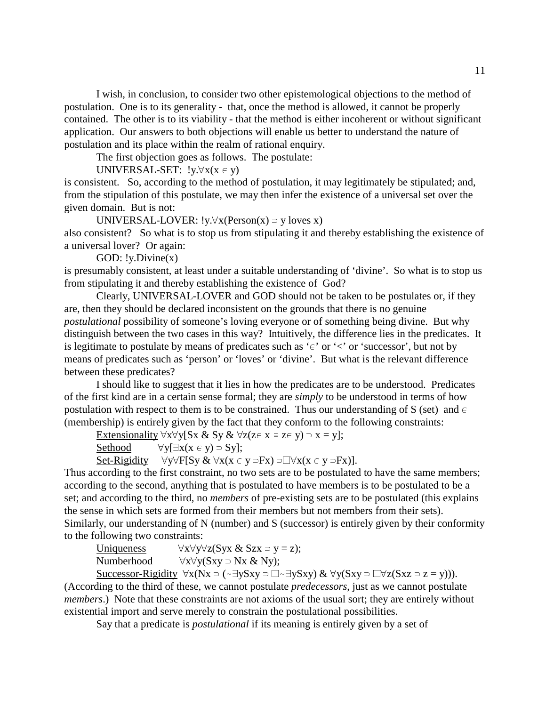I wish, in conclusion, to consider two other epistemological objections to the method of postulation. One is to its generality - that, once the method is allowed, it cannot be properly contained. The other is to its viability - that the method is either incoherent or without significant application. Our answers to both objections will enable us better to understand the nature of postulation and its place within the realm of rational enquiry.

The first objection goes as follows. The postulate:

UNIVERSAL-SET:  $!y.\forall x(x \in y)$ 

is consistent. So, according to the method of postulation, it may legitimately be stipulated; and, from the stipulation of this postulate, we may then infer the existence of a universal set over the given domain. But is not:

UNIVERSAL-LOVER:  $!y.\forall x(Person(x) \supset y$  loves x) also consistent? So what is to stop us from stipulating it and thereby establishing the existence of a universal lover? Or again:

GOD:  $!y.Divine(x)$ 

is presumably consistent, at least under a suitable understanding of 'divine'. So what is to stop us from stipulating it and thereby establishing the existence of God?

Clearly, UNIVERSAL-LOVER and GOD should not be taken to be postulates or, if they are, then they should be declared inconsistent on the grounds that there is no genuine *postulational* possibility of someone's loving everyone or of something being divine. But why distinguish between the two cases in this way? Intuitively, the difference lies in the predicates. It is legitimate to postulate by means of predicates such as ' $\epsilon$ ' or ' $\lt$ ' or 'successor', but not by means of predicates such as 'person' or 'loves' or 'divine'. But what is the relevant difference between these predicates?

I should like to suggest that it lies in how the predicates are to be understood. Predicates of the first kind are in a certain sense formal; they are *simply* to be understood in terms of how postulation with respect to them is to be constrained. Thus our understanding of S (set) and  $\in$ (membership) is entirely given by the fact that they conform to the following constraints:

Extensionality  $\forall x \forall y$ [Sx & Sy &  $\forall z(z \in x \equiv z \in y)$   $\supset x = y$ ];

Sethood  $\forall y[\exists x(x \in y) \supseteq Sy];$ 

Set-Rigidity  $\forall y \forall F[Sy \& \forall x(x \in y \Rightarrow Fx) \Rightarrow \exists \forall x(x \in y \Rightarrow Fx)].$ 

Thus according to the first constraint, no two sets are to be postulated to have the same members; according to the second, anything that is postulated to have members is to be postulated to be a set; and according to the third, no *members* of pre-existing sets are to be postulated (this explains the sense in which sets are formed from their members but not members from their sets). Similarly, our understanding of N (number) and S (successor) is entirely given by their conformity to the following two constraints:

| <u>Uniqueness</u> | $\forall x \forall y \forall z (Syx \& Szx = y = z);$ |
|-------------------|-------------------------------------------------------|
| Numberhood        | $\forall x \forall y(Sxy \supset Nx \& Ny);$          |

Successor-Rigidity  $\forall x (Nx \supset (-\exists ySxy) \supset \Box \neg \exists ySxy) \& \forall y(Sxy \supset \Box \forall z(Sxz \supset z = y))$ . (According to the third of these, we cannot postulate *predecessors*, just as we cannot postulate *members*.) Note that these constraints are not axioms of the usual sort; they are entirely without existential import and serve merely to constrain the postulational possibilities.

Say that a predicate is *postulational* if its meaning is entirely given by a set of